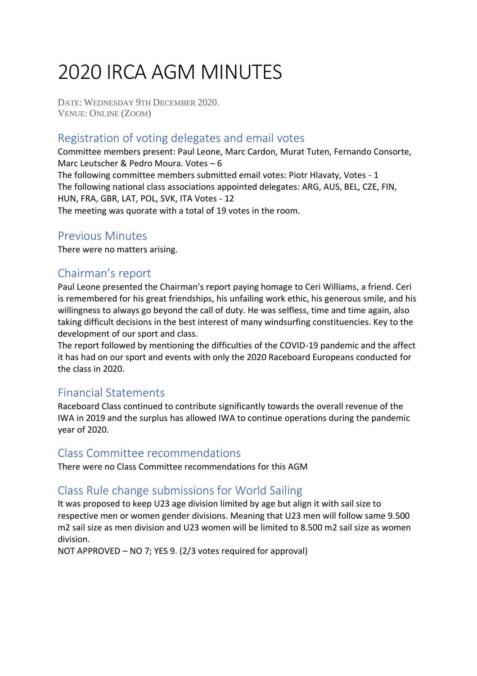# 2020 IRCA AGM MINUTES

DATE: WEDNESDAY 9TH DECEMBER 2020. VENUE: ONLINE (ZOOM)

## Registration of voting delegates and email votes

Committee members present: Paul Leone, Marc Cardon, Murat Tuten, Fernando Consorte, Marc Leutscher & Pedro Moura. Votes – 6 The following committee members submitted email votes: Piotr Hlavaty, Votes - 1 The following national class associations appointed delegates: ARG, AUS, BEL, CZE, FIN, HUN, FRA, GBR, LAT, POL, SVK, ITA Votes - 12 The meeting was quorate with a total of 19 votes in the room.

#### [Previous Minutes](http://internationalwindsurfing.com/userfiles/documents/RB_AGM_19_MINUTES.pdf)

There were no matters arising.

## Chairman's report

Paul Leone presented the Chairman's report paying homage to Ceri Williams, a friend. Ceri is remembered for his great friendships, his unfailing work ethic, his generous smile, and his willingness to always go beyond the call of duty. He was selfless, time and time again, also taking difficult decisions in the best interest of many windsurfing constituencies. Key to the development of our sport and class.

The report followed by mentioning the difficulties of the COVID-19 pandemic and the affect it has had on our sport and events with only the 2020 Raceboard Europeans conducted for the class in 2020.

## Financial Statements

Raceboard Class continued to contribute significantly towards the overall revenue of the IWA in 2019 and the surplus has allowed IWA to continue operations during the pandemic year of 2020.

#### Class Committee recommendations

There were no Class Committee recommendations for this AGM

## Class Rule change submissions for World Sailing

It was proposed to keep U23 age division limited by age but align it with sail size to respective men or women gender divisions. Meaning that U23 men will follow same 9.500 m2 sail size as men division and U23 women will be limited to 8.500 m2 sail size as women division.

NOT APPROVED – NO 7; YES 9. (2/3 votes required for approval)